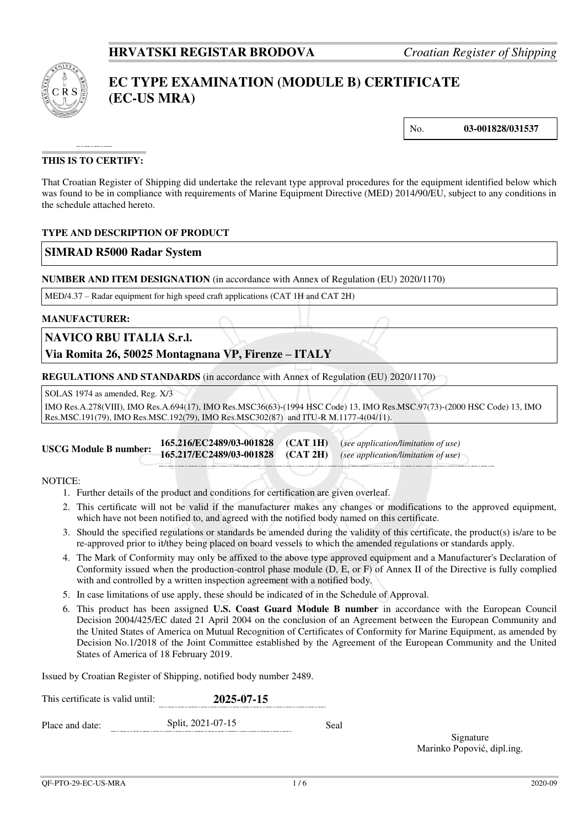

# **EC TYPE EXAMINATION (MODULE B) CERTIFICATE (EC-US MRA)**

No. **03-001828/031537** 

## **THIS IS TO CERTIFY:**

That Croatian Register of Shipping did undertake the relevant type approval procedures for the equipment identified below which was found to be in compliance with requirements of Marine Equipment Directive (MED) 2014/90/EU, subject to any conditions in the schedule attached hereto.

## **TYPE AND DESCRIPTION OF PRODUCT**

## **SIMRAD R5000 Radar System**

**NUMBER AND ITEM DESIGNATION** (in accordance with Annex of Regulation (EU) 2020/1170)

MED/4.37 – Radar equipment for high speed craft applications (CAT 1H and CAT 2H)

#### **MANUFACTURER:**

## **NAVICO RBU ITALIA S.r.l.**

**Via Romita 26, 50025 Montagnana VP, Firenze – ITALY**

**REGULATIONS AND STANDARDS** (in accordance with Annex of Regulation (EU) 2020/1170)

SOLAS 1974 as amended, Reg. X/3

IMO Res.A.278(VIII), IMO Res.A.694(17), IMO Res.MSC36(63)-(1994 HSC Code) 13, IMO Res.MSC.97(73)-(2000 HSC Code) 13, IMO Res.MSC.191(79), IMO Res.MSC.192(79), IMO Res.MSC302(87) and ITU-R M.1177-4(04/11).

**USCG Module B number: 165.216/EC2489/03-001828 (CAT 1H)** (*see application/limitation of use)*  **165.217/EC2489/03-001828 (CAT 2H)** *(see application/limitation of use)*

#### NOTICE:

- 1. Further details of the product and conditions for certification are given overleaf.
- 2. This certificate will not be valid if the manufacturer makes any changes or modifications to the approved equipment, which have not been notified to, and agreed with the notified body named on this certificate.
- 3. Should the specified regulations or standards be amended during the validity of this certificate, the product(s) is/are to be re-approved prior to it/they being placed on board vessels to which the amended regulations or standards apply.
- 4. The Mark of Conformity may only be affixed to the above type approved equipment and a Manufacturer's Declaration of Conformity issued when the production-control phase module (D, E, or F) of Annex II of the Directive is fully complied with and controlled by a written inspection agreement with a notified body.
- 5. In case limitations of use apply, these should be indicated of in the Schedule of Approval.
- 6. This product has been assigned **U.S. Coast Guard Module B number** in accordance with the European Council Decision 2004/425/EC dated 21 April 2004 on the conclusion of an Agreement between the European Community and the United States of America on Mutual Recognition of Certificates of Conformity for Marine Equipment, as amended by Decision No.1/2018 of the Joint Committee established by the Agreement of the European Community and the United States of America of 18 February 2019.

Issued by Croatian Register of Shipping, notified body number 2489.

| This certificate is valid until: | 2025-07-15        |      |  |  |  |  |
|----------------------------------|-------------------|------|--|--|--|--|
| Place and date:                  | Split, 2021-07-15 | Seal |  |  |  |  |

Signature Marinko Popović, dipl.ing.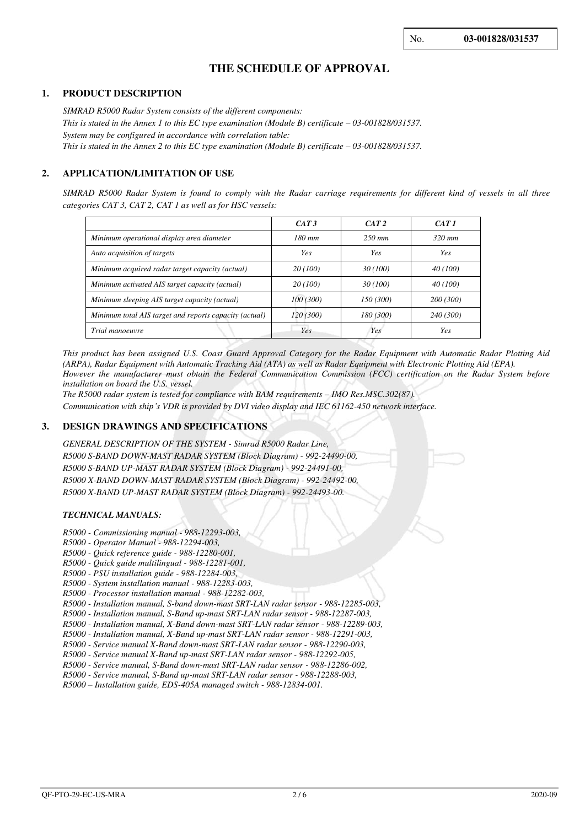# **THE SCHEDULE OF APPROVAL**

#### **1. PRODUCT DESCRIPTION**

*SIMRAD R5000 Radar System consists of the different components: This is stated in the Annex 1 to this EC type examination (Module B) certificate*  $-03-001828/031537$ *. System may be configured in accordance with correlation table: This is stated in the Annex 2 to this EC type examination (Module B) certificate – 03-001828/031537.* 

## **2. APPLICATION/LIMITATION OF USE**

*SIMRAD R5000 Radar System is found to comply with the Radar carriage requirements for different kind of vessels in all three categories CAT 3, CAT 2, CAT 1 as well as for HSC vessels:* 

|                                                        | CAT3      | CAT 2     | CAT1      |
|--------------------------------------------------------|-----------|-----------|-----------|
| Minimum operational display area diameter              | $180$ mm  | $250$ mm  | $320$ mm  |
| Auto acquisition of targets                            | Yes       | Yes       | Yes       |
| Minimum acquired radar target capacity (actual)        | 20 (100)  | 30(100)   | 40 (100)  |
| Minimum activated AIS target capacity (actual)         | 20 (100)  | 30(100)   | 40 (100)  |
| Minimum sleeping AIS target capacity (actual)          | 100 (300) | 150 (300) | 200 (300) |
| Minimum total AIS target and reports capacity (actual) | 120 (300) | 180 (300) | 240 (300) |
| Trial manoeuvre                                        | Yes       | Yes       | Yes       |

*This product has been assigned U.S. Coast Guard Approval Category for the Radar Equipment with Automatic Radar Plotting Aid (ARPA), Radar Equipment with Automatic Tracking Aid (ATA) as well as Radar Equipment with Electronic Plotting Aid (EPA). However the manufacturer must obtain the Federal Communication Commission (FCC) certification on the Radar System before installation on board the U.S. vessel.* 

*The R5000 radar system is tested for compliance with BAM requirements – IMO Res.MSC.302(87).* 

*Communication with ship's VDR is provided by DVI video display and IEC 61162-450 network interface.*

#### **3. DESIGN DRAWINGS AND SPECIFICATIONS**

*GENERAL DESCRIPTION OF THE SYSTEM - Simrad R5000 Radar Line, R5000 S-BAND DOWN-MAST RADAR SYSTEM (Block Diagram) - 992-24490-00, R5000 S-BAND UP-MAST RADAR SYSTEM (Block Diagram) - 992-24491-00, R5000 X-BAND DOWN-MAST RADAR SYSTEM (Block Diagram) - 992-24492-00, R5000 X-BAND UP-MAST RADAR SYSTEM (Block Diagram) - 992-24493-00.*

#### *TECHNICAL MANUALS:*

- *R5000 Commissioning manual 988-12293-003,*
- *R5000 Operator Manual 988-12294-003,*
- *R5000 Quick reference guide 988-12280-001,*
- *R5000 Quick guide multilingual 988-12281-001,*
- *R5000 PSU installation guide 988-12284-003,*
- *R5000 System installation manual 988-12283-003,*
- *R5000 Processor installation manual 988-12282-003,*
- *R5000 Installation manual, S-band down-mast SRT-LAN radar sensor 988-12285-003,*
- *R5000 Installation manual, S-Band up-mast SRT-LAN radar sensor 988-12287-003,*
- *R5000 Installation manual, X-Band down-mast SRT-LAN radar sensor 988-12289-003,*
- *R5000 Installation manual, X-Band up-mast SRT-LAN radar sensor 988-12291-003,*
- *R5000 Service manual X-Band down-mast SRT-LAN radar sensor 988-12290-003,*
- *R5000 Service manual X-Band up-mast SRT-LAN radar sensor 988-12292-005, R5000 - Service manual, S-Band down-mast SRT-LAN radar sensor - 988-12286-002,*

*R5000 - Service manual, S-Band up-mast SRT-LAN radar sensor - 988-12288-003,* 

*R5000 – Installation guide, EDS-405A managed switch - 988-12834-001.*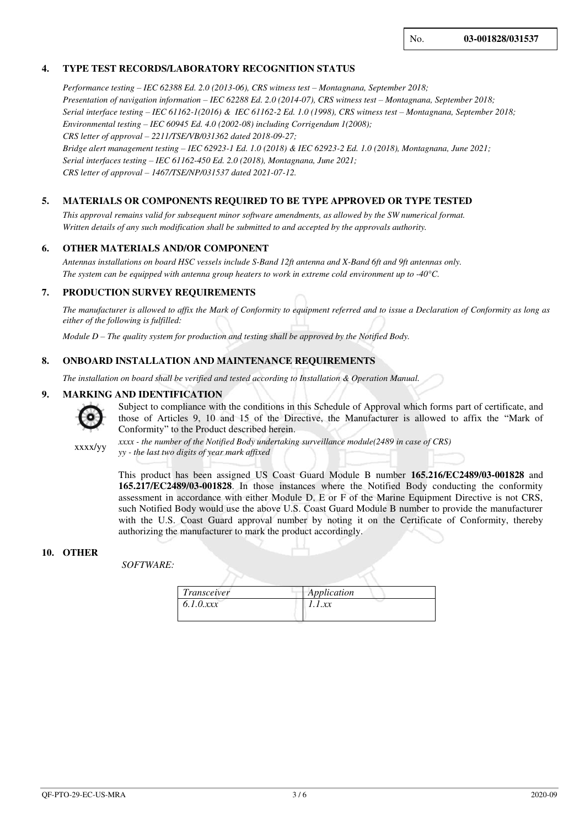## **4. TYPE TEST RECORDS/LABORATORY RECOGNITION STATUS**

*Performance testing – IEC 62388 Ed. 2.0 (2013-06), CRS witness test – Montagnana, September 2018; Presentation of navigation information – IEC 62288 Ed. 2.0 (2014-07), CRS witness test – Montagnana, September 2018; Serial interface testing – IEC 61162-1(2016) & IEC 61162-2 Ed. 1.0 (1998), CRS witness test – Montagnana, September 2018; Environmental testing – IEC 60945 Ed. 4.0 (2002-08) including Corrigendum 1(2008); CRS letter of approval – 2211/TSE/VB/031362 dated 2018-09-27; Bridge alert management testing – IEC 62923-1 Ed. 1.0 (2018) & IEC 62923-2 Ed. 1.0 (2018), Montagnana, June 2021; Serial interfaces testing – IEC 61162-450 Ed. 2.0 (2018), Montagnana, June 2021; CRS letter of approval – 1467/TSE/NP/031537 dated 2021-07-12.*

#### **5. MATERIALS OR COMPONENTS REQUIRED TO BE TYPE APPROVED OR TYPE TESTED**

*This approval remains valid for subsequent minor software amendments, as allowed by the SW numerical format. Written details of any such modification shall be submitted to and accepted by the approvals authority.* 

#### **6. OTHER MATERIALS AND/OR COMPONENT**

*Antennas installations on board HSC vessels include S-Band 12ft antenna and X-Band 6ft and 9ft antennas only. The system can be equipped with antenna group heaters to work in extreme cold environment up to -40°C.*

### **7. PRODUCTION SURVEY REQUIREMENTS**

*The manufacturer is allowed to affix the Mark of Conformity to equipment referred and to issue a Declaration of Conformity as long as either of the following is fulfilled:* 

*Module D – The quality system for production and testing shall be approved by the Notified Body.* 

#### **8. ONBOARD INSTALLATION AND MAINTENANCE REQUIREMENTS**

*The installation on board shall be verified and tested according to Installation & Operation Manual.*

#### **9. MARKING AND IDENTIFICATION**



Subject to compliance with the conditions in this Schedule of Approval which forms part of certificate, and those of Articles 9, 10 and 15 of the Directive, the Manufacturer is allowed to affix the "Mark of Conformity" to the Product described herein.

xxxx/yy

*xxxx - the number of the Notified Body undertaking surveillance module(2489 in case of CRS) yy - the last two digits of year mark affixed*

This product has been assigned US Coast Guard Module B number **165.216/EC2489/03-001828** and **165.217/EC2489/03-001828**. In those instances where the Notified Body conducting the conformity assessment in accordance with either Module D, E or F of the Marine Equipment Directive is not CRS, such Notified Body would use the above U.S. Coast Guard Module B number to provide the manufacturer with the U.S. Coast Guard approval number by noting it on the Certificate of Conformity, thereby authorizing the manufacturer to mark the product accordingly.

### **10. OTHER**

 *SOFTWARE:* 

| Transceiver | Application |  |
|-------------|-------------|--|
| 6.1.0xxx    | 1.1.xx      |  |
|             |             |  |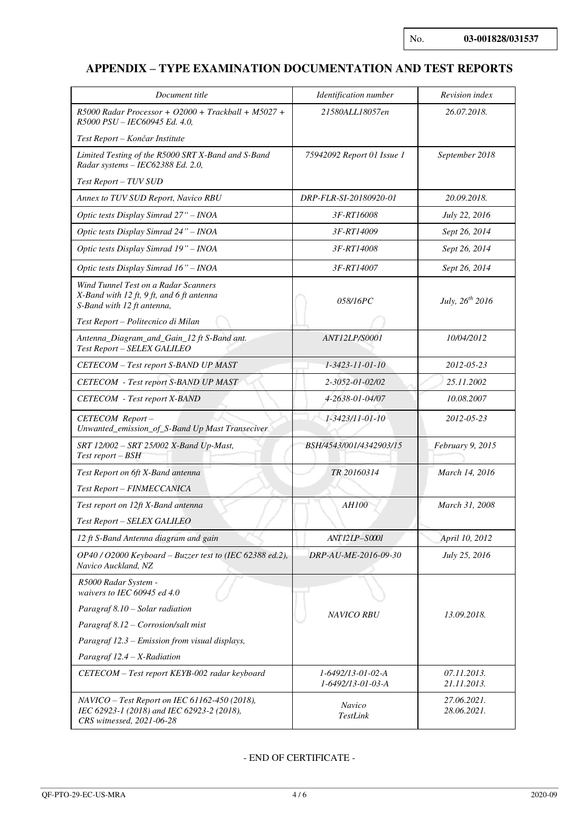# **APPENDIX – TYPE EXAMINATION DOCUMENTATION AND TEST REPORTS**

| Document title                                                                                                           | Identification number                  | Revision index             |
|--------------------------------------------------------------------------------------------------------------------------|----------------------------------------|----------------------------|
| $R5000$ Radar Processor + O2000 + Trackball + M5027 +<br>R5000 PSU - IEC60945 Ed. 4.0,                                   | 21580ALL18057en                        | 26.07.2018.                |
| Test Report – Končar Institute                                                                                           |                                        |                            |
| Limited Testing of the R5000 SRT X-Band and S-Band<br>Radar systems - IEC62388 Ed. 2.0,                                  | 75942092 Report 01 Issue 1             | September 2018             |
| Test Report - TUV SUD                                                                                                    |                                        |                            |
| Annex to TUV SUD Report, Navico RBU                                                                                      | DRP-FLR-SI-20180920-01                 | 20.09.2018.                |
| Optic tests Display Simrad 27" - INOA                                                                                    | 3F-RT16008                             | July 22, 2016              |
| Optic tests Display Simrad 24" - INOA                                                                                    | 3F-RT14009                             | Sept 26, 2014              |
| Optic tests Display Simrad 19" - INOA                                                                                    | 3F-RT14008                             | Sept 26, 2014              |
| Optic tests Display Simrad 16" - INOA                                                                                    | 3F-RT14007                             | Sept 26, 2014              |
| Wind Tunnel Test on a Radar Scanners<br>$X$ -Band with 12 ft, 9 ft, and 6 ft antenna<br>S-Band with 12 ft antenna,       | 058/16PC                               | July, $26^{th}$ 2016       |
| Test Report - Politecnico di Milan                                                                                       | <b>ANT12LP/S0001</b>                   | 10/04/2012                 |
| Antenna_Diagram_and_Gain_12 ft S-Band ant.<br>Test Report - SELEX GALILEO                                                |                                        |                            |
| CETECOM - Test report S-BAND UP MAST                                                                                     | 1-3423-11-01-10                        | 2012-05-23                 |
| <b>CETECOM</b> - Test report S-BAND UP MAST                                                                              | 2-3052-01-02/02                        | 25.11.2002                 |
| <b>CETECOM</b> - Test report X-BAND                                                                                      | 4-2638-01-04/07                        | 10.08.2007                 |
| CETECOM Report-<br>Unwanted_emission_of_S-Band Up Mast Transeciver                                                       | 1-3423/11-01-10                        | 2012-05-23                 |
| SRT 12/002 - SRT 25/002 X-Band Up-Mast,<br>Test report – BSH                                                             | BSH/4543/001/4342903/15                | February 9, 2015           |
| Test Report on 6ft X-Band antenna                                                                                        | TR 20160314                            | March 14, 2016             |
| Test Report - FINMECCANICA<br>Test report on 12ft X-Band antenna                                                         | <b>AH100</b>                           | March 31, 2008             |
| Test Report - SELEX GALILEO                                                                                              |                                        |                            |
| 12 ft S-Band Antenna diagram and gain                                                                                    | <b>ANT12LP-S0001</b>                   | April 10, 2012             |
| OP40 / O2000 Keyboard – Buzzer test to (IEC 62388 ed.2),<br>Navico Auckland, NZ                                          | DRP-AU-ME-2016-09-30                   | July 25, 2016              |
| R5000 Radar System -<br>waivers to IEC 60945 ed 4.0                                                                      |                                        |                            |
| Paragraf 8.10 - Solar radiation                                                                                          | <b>NAVICO RBU</b>                      | 13.09.2018.                |
| Paragraf 8.12 - Corrosion/salt mist                                                                                      |                                        |                            |
| Paragraf 12.3 - Emission from visual displays,                                                                           |                                        |                            |
| Paragraf 12.4 - X-Radiation                                                                                              |                                        |                            |
| CETECOM - Test report KEYB-002 radar keyboard                                                                            | 1-6492/13-01-02-A<br>1-6492/13-01-03-A | 07.11.2013.<br>21.11.2013. |
| NAVICO - Test Report on IEC 61162-450 (2018),<br>IEC 62923-1 (2018) and IEC 62923-2 (2018),<br>CRS witnessed, 2021-06-28 | Navico<br>TestLink                     | 27.06.2021.<br>28.06.2021. |

## - END OF CERTIFICATE -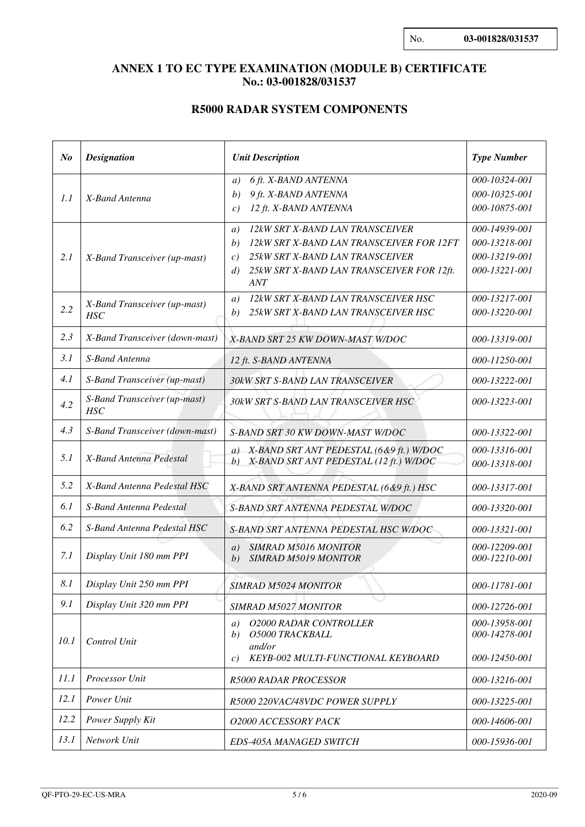# **ANNEX 1 TO EC TYPE EXAMINATION (MODULE B) CERTIFICATE No.: 03-001828/031537**

# **R5000 RADAR SYSTEM COMPONENTS**

| N <sub>o</sub> | <b>Designation</b>                                           | <b>Unit Description</b>                                                                                                                                                                                                                        | <b>Type Number</b>                                                                |
|----------------|--------------------------------------------------------------|------------------------------------------------------------------------------------------------------------------------------------------------------------------------------------------------------------------------------------------------|-----------------------------------------------------------------------------------|
| 1.1            | X-Band Antenna                                               | 6 ft. X-BAND ANTENNA<br>a)<br>9 ft. X-BAND ANTENNA<br>b)<br>12 ft. X-BAND ANTENNA<br>c)                                                                                                                                                        | 000-10324-001<br>000-10325-001<br>000-10875-001                                   |
| 2.1            | X-Band Transceiver (up-mast)<br>X-Band Transceiver (up-mast) | 12kW SRT X-BAND LAN TRANSCEIVER<br>a)<br>12kW SRT X-BAND LAN TRANSCEIVER FOR 12FT<br>b)<br>25kW SRT X-BAND LAN TRANSCEIVER<br>c)<br>25kW SRT X-BAND LAN TRANSCEIVER FOR 12ft.<br>d)<br><b>ANT</b><br>12kW SRT X-BAND LAN TRANSCEIVER HSC<br>a) | 000-14939-001<br>000-13218-001<br>000-13219-001<br>000-13221-001<br>000-13217-001 |
| 2.2            | <b>HSC</b>                                                   | 25kW SRT X-BAND LAN TRANSCEIVER HSC<br>b)                                                                                                                                                                                                      | 000-13220-001                                                                     |
| 2.3            | X-Band Transceiver (down-mast)                               | X-BAND SRT 25 KW DOWN-MAST W/DOC                                                                                                                                                                                                               | 000-13319-001                                                                     |
| 3.1            | S-Band Antenna                                               | 12 ft. S-BAND ANTENNA                                                                                                                                                                                                                          | 000-11250-001                                                                     |
| 4.1            | S-Band Transceiver (up-mast)                                 | 30kW SRT S-BAND LAN TRANSCEIVER                                                                                                                                                                                                                | 000-13222-001                                                                     |
| 4.2            | S-Band Transceiver (up-mast)<br><b>HSC</b>                   | 30kW SRT S-BAND LAN TRANSCEIVER HSC                                                                                                                                                                                                            | 000-13223-001                                                                     |
| 4.3            | S-Band Transceiver (down-mast)                               | S-BAND SRT 30 KW DOWN-MAST W/DOC                                                                                                                                                                                                               | 000-13322-001                                                                     |
| 5.1            | X-Band Antenna Pedestal                                      | a) X-BAND SRT ANT PEDESTAL (6&9 ft.) W/DOC<br>X-BAND SRT ANT PEDESTAL (12 ft.) W/DOC<br>b)                                                                                                                                                     | 000-13316-001<br>000-13318-001                                                    |
| 5.2            | X-Band Antenna Pedestal HSC                                  | X-BAND SRT ANTENNA PEDESTAL (6&9 ft.) HSC                                                                                                                                                                                                      | 000-13317-001                                                                     |
| 6.1            | S-Band Antenna Pedestal                                      | S-BAND SRT ANTENNA PEDESTAL W/DOC                                                                                                                                                                                                              | 000-13320-001                                                                     |
| 6.2            | S-Band Antenna Pedestal HSC                                  | S-BAND SRT ANTENNA PEDESTAL HSC W/DOC                                                                                                                                                                                                          | 000-13321-001                                                                     |
| 7.1            | Display Unit 180 mm PPI                                      | <b>SIMRAD M5016 MONITOR</b><br>a)<br><b>SIMRAD M5019 MONITOR</b><br>b)                                                                                                                                                                         | 000-12209-001<br>000-12210-001                                                    |
| 8.1            | Display Unit 250 mm PPI                                      | <b>SIMRAD M5024 MONITOR</b>                                                                                                                                                                                                                    | 000-11781-001                                                                     |
| 9.1            | Display Unit 320 mm PPI                                      | <b>SIMRAD M5027 MONITOR</b>                                                                                                                                                                                                                    | 000-12726-001                                                                     |
| 10.1           | Control Unit                                                 | <b>O2000 RADAR CONTROLLER</b><br>a)<br>O5000 TRACKBALL<br>b)<br>and/or<br>KEYB-002 MULTI-FUNCTIONAL KEYBOARD<br>$\mathcal{C}$ )                                                                                                                | 000-13958-001<br>000-14278-001<br>000-12450-001                                   |
| 11.1           | Processor Unit                                               | <b>R5000 RADAR PROCESSOR</b>                                                                                                                                                                                                                   | 000-13216-001                                                                     |
| 12.1           | Power Unit                                                   | R5000 220VAC/48VDC POWER SUPPLY                                                                                                                                                                                                                | 000-13225-001                                                                     |
| 12.2           | Power Supply Kit                                             | O2000 ACCESSORY PACK                                                                                                                                                                                                                           | 000-14606-001                                                                     |
| 13.1           | Network Unit                                                 | EDS-405A MANAGED SWITCH                                                                                                                                                                                                                        | 000-15936-001                                                                     |